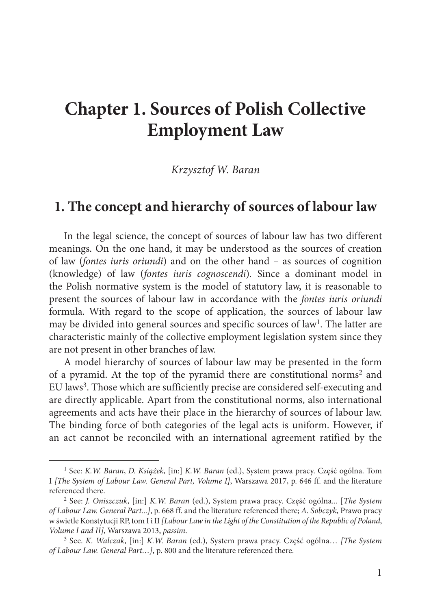# **Chapter 1. Sources of Polish Collective Employment Law**

*Krzysztof W. Baran*

### **1. The concept and hierarchy of sources of labour law**

In the legal science, the concept of sources of labour law has two different meanings. On the one hand, it may be understood as the sources of creation of law (*fontes iuris oriundi*) and on the other hand – as sources of cognition (knowledge) of law (*fontes iuris cognoscendi*)*.* Since a dominant model in the Polish normative system is the model of statutory law, it is reasonable to present the sources of labour law in accordance with the *fontes iuris oriundi* formula. With regard to the scope of application, the sources of labour law may be divided into general sources and specific sources of law<sup>1</sup>. The latter are characteristic mainly of the collective employment legislation system since they are not present in other branches of law.

A model hierarchy of sources of labour law may be presented in the form of a pyramid. At the top of the pyramid there are constitutional norms2 and EU laws3. Those which are sufficiently precise are considered self-executing and are directly applicable. Apart from the constitutional norms, also international agreements and acts have their place in the hierarchy of sources of labour law. The binding force of both categories of the legal acts is uniform. However, if an act cannot be reconciled with an international agreement ratified by the

<sup>1</sup> See: *K.W. Baran*, *D. Książek*, [in:] *K.W. Baran* (ed.), System prawa pracy. Część ogólna. Tom I *[The System of Labour Law. General Part, Volume I]*, Warszawa 2017, p. 646 ff. and the literature referenced there.

<sup>2</sup> See: *J. Oniszczuk*, [in:] *K.W. Baran* (ed.), System prawa pracy. Część ogólna... [*The System of Labour Law. General Part...]*, p. 668 ff. and the literature referenced there; *A. Sobczyk*, Prawo pracy w świetle Konstytucji RP, tom I i II *[Labour Law in the Light of the Constitution of the Republic of Poland*, *Volume I and II]*, Warszawa 2013, *passim*.

<sup>3</sup> See. *K. Walczak*, [in:] *K.W. Baran* (ed.), System prawa pracy. Część ogólna… *[The System of Labour Law. General Part…]*, p. 800 and the literature referenced there.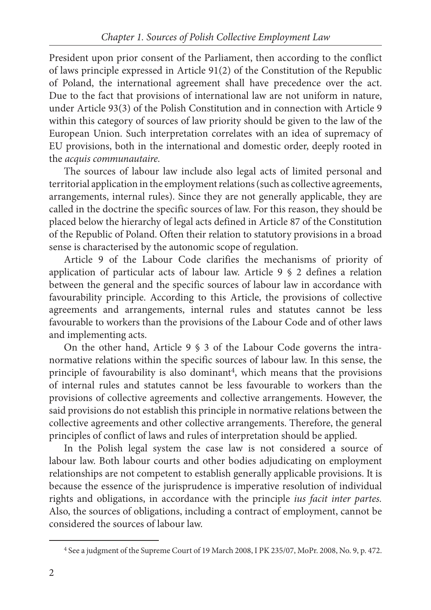President upon prior consent of the Parliament, then according to the conflict of laws principle expressed in Article 91(2) of the Constitution of the Republic of Poland, the international agreement shall have precedence over the act. Due to the fact that provisions of international law are not uniform in nature, under Article 93(3) of the Polish Constitution and in connection with Article 9 within this category of sources of law priority should be given to the law of the European Union. Such interpretation correlates with an idea of supremacy of EU provisions, both in the international and domestic order, deeply rooted in the *acquis communautaire.*

The sources of labour law include also legal acts of limited personal and territorial application in the employment relations (such as collective agreements, arrangements, internal rules). Since they are not generally applicable, they are called in the doctrine the specific sources of law. For this reason, they should be placed below the hierarchy of legal acts defined in Article 87 of the Constitution of the Republic of Poland. Often their relation to statutory provisions in a broad sense is characterised by the autonomic scope of regulation.

Article 9 of the Labour Code clarifies the mechanisms of priority of application of particular acts of labour law. Article 9 § 2 defines a relation between the general and the specific sources of labour law in accordance with favourability principle. According to this Article, the provisions of collective agreements and arrangements, internal rules and statutes cannot be less favourable to workers than the provisions of the Labour Code and of other laws and implementing acts.

On the other hand, Article 9 § 3 of the Labour Code governs the intranormative relations within the specific sources of labour law. In this sense, the principle of favourability is also dominant<sup>4</sup>, which means that the provisions of internal rules and statutes cannot be less favourable to workers than the provisions of collective agreements and collective arrangements. However, the said provisions do not establish this principle in normative relations between the collective agreements and other collective arrangements. Therefore, the general principles of conflict of laws and rules of interpretation should be applied.

In the Polish legal system the case law is not considered a source of labour law. Both labour courts and other bodies adjudicating on employment relationships are not competent to establish generally applicable provisions. It is because the essence of the jurisprudence is imperative resolution of individual rights and obligations, in accordance with the principle *ius facit inter partes.* Also, the sources of obligations, including a contract of employment, cannot be considered the sources of labour law.

<sup>4</sup> See a judgment of the Supreme Court of 19 March 2008, I PK 235/07, MoPr. 2008, No. 9, p. 472.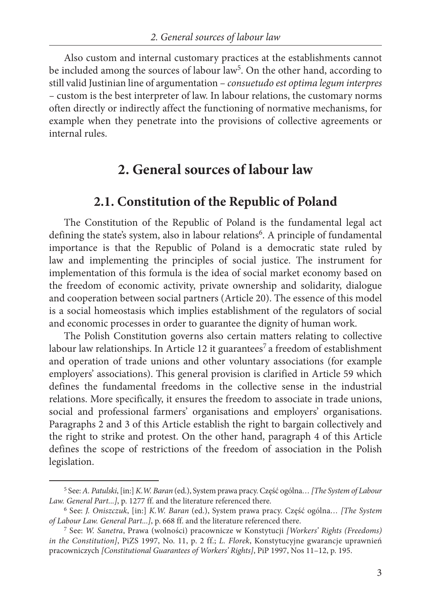Also custom and internal customary practices at the establishments cannot be included among the sources of labour law<sup>5</sup>. On the other hand, according to still valid Justinian line of argumentation – *consuetudo est optima legum interpres –* custom is the best interpreter of law. In labour relations, the customary norms often directly or indirectly affect the functioning of normative mechanisms, for example when they penetrate into the provisions of collective agreements or internal rules.

# **2. General sources of labour law**

### **2.1. Constitution of the Republic of Poland**

The Constitution of the Republic of Poland is the fundamental legal act defining the state's system, also in labour relations<sup>6</sup>. A principle of fundamental importance is that the Republic of Poland is a democratic state ruled by law and implementing the principles of social justice. The instrument for implementation of this formula is the idea of social market economy based on the freedom of economic activity, private ownership and solidarity, dialogue and cooperation between social partners (Article 20). The essence of this model is a social homeostasis which implies establishment of the regulators of social and economic processes in order to guarantee the dignity of human work.

The Polish Constitution governs also certain matters relating to collective labour law relationships. In Article 12 it guarantees<sup>7</sup> a freedom of establishment and operation of trade unions and other voluntary associations (for example employers' associations). This general provision is clarified in Article 59 which defines the fundamental freedoms in the collective sense in the industrial relations. More specifically, it ensures the freedom to associate in trade unions, social and professional farmers' organisations and employers' organisations. Paragraphs 2 and 3 of this Article establish the right to bargain collectively and the right to strike and protest. On the other hand, paragraph 4 of this Article defines the scope of restrictions of the freedom of association in the Polish legislation.

<sup>5</sup> See: *A. Patulski*, [in:] *K.W. Baran* (ed.), System prawa pracy. Część ogólna*… [The System of Labour Law. General Part...]*, p. 1277 ff. and the literature referenced there.

<sup>6</sup> See: *J. Oniszczuk*, [in:] *K.W. Baran* (ed.), System prawa pracy. Część ogólna*… [The System of Labour Law. General Part...]*, p. 668 ff. and the literature referenced there.

<sup>7</sup> See: *W. Sanetra*, Prawa (wolności) pracownicze w Konstytucji *[Workers' Rights (Freedoms) in the Constitution]*, PiZS 1997, No. 11, p. 2 ff.; *L. Florek*, Konstytucyjne gwarancje uprawnień pracowniczych *[Constitutional Guarantees of Workers' Rights]*, PiP 1997, Nos 11–12, p. 195.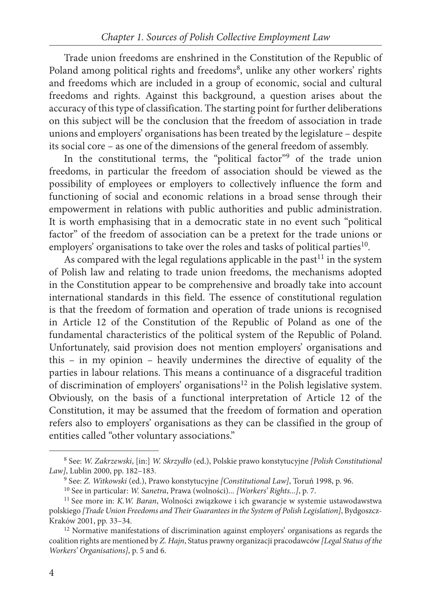Trade union freedoms are enshrined in the Constitution of the Republic of Poland among political rights and freedoms<sup>8</sup>, unlike any other workers' rights and freedoms which are included in a group of economic, social and cultural freedoms and rights. Against this background, a question arises about the accuracy of this type of classification. The starting point for further deliberations on this subject will be the conclusion that the freedom of association in trade unions and employers' organisations has been treated by the legislature – despite its social core – as one of the dimensions of the general freedom of assembly.

In the constitutional terms, the "political factor"<sup>9</sup> of the trade union freedoms, in particular the freedom of association should be viewed as the possibility of employees or employers to collectively influence the form and functioning of social and economic relations in a broad sense through their empowerment in relations with public authorities and public administration. It is worth emphasising that in a democratic state in no event such "political factor" of the freedom of association can be a pretext for the trade unions or employers' organisations to take over the roles and tasks of political parties<sup>10</sup>.

As compared with the legal regulations applicable in the past<sup>11</sup> in the system of Polish law and relating to trade union freedoms, the mechanisms adopted in the Constitution appear to be comprehensive and broadly take into account international standards in this field. The essence of constitutional regulation is that the freedom of formation and operation of trade unions is recognised in Article 12 of the Constitution of the Republic of Poland as one of the fundamental characteristics of the political system of the Republic of Poland. Unfortunately, said provision does not mention employers' organisations and this – in my opinion – heavily undermines the directive of equality of the parties in labour relations. This means a continuance of a disgraceful tradition of discrimination of employers' organisations<sup>12</sup> in the Polish legislative system. Obviously, on the basis of a functional interpretation of Article 12 of the Constitution, it may be assumed that the freedom of formation and operation refers also to employers' organisations as they can be classified in the group of entities called "other voluntary associations."

<sup>8</sup> See: *W. Zakrzewski*, [in:] *W. Skrzydło* (ed.), Polskie prawo konstytucyjne *[Polish Constitutional Law]*, Lublin 2000, pp. 182–183.

<sup>9</sup> See: *Z. Witkowski* (ed.), Prawo konstytucyjne *[Constitutional Law]*, Toruń 1998, p. 96.

<sup>10</sup> See in particular: *W. Sanetra*, Prawa (wolności)*... [Workers' Rights...]*, p. 7.

<sup>11</sup> See more in: *K.W. Baran*, Wolności związkowe i ich gwarancje w systemie ustawodawstwa polskiego *[Trade Union Freedoms and Their Guarantees in the System of Polish Legislation]*, Bydgoszcz-Kraków 2001, pp. 33–34.

<sup>&</sup>lt;sup>12</sup> Normative manifestations of discrimination against employers' organisations as regards the coalition rights are mentioned by *Z. Hajn*, Status prawny organizacji pracodawców *[Legal Status of the Workers' Organisations]*, p. 5 and 6.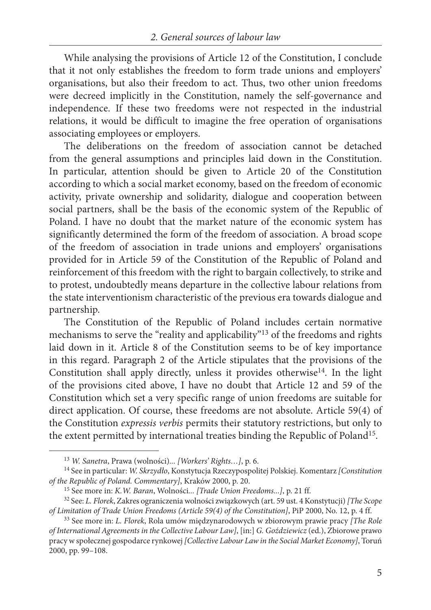While analysing the provisions of Article 12 of the Constitution, I conclude that it not only establishes the freedom to form trade unions and employers' organisations, but also their freedom to act. Thus, two other union freedoms were decreed implicitly in the Constitution, namely the self-governance and independence. If these two freedoms were not respected in the industrial relations, it would be difficult to imagine the free operation of organisations associating employees or employers.

The deliberations on the freedom of association cannot be detached from the general assumptions and principles laid down in the Constitution. In particular, attention should be given to Article 20 of the Constitution according to which a social market economy, based on the freedom of economic activity, private ownership and solidarity, dialogue and cooperation between social partners, shall be the basis of the economic system of the Republic of Poland. I have no doubt that the market nature of the economic system has significantly determined the form of the freedom of association. A broad scope of the freedom of association in trade unions and employers' organisations provided for in Article 59 of the Constitution of the Republic of Poland and reinforcement of this freedom with the right to bargain collectively, to strike and to protest, undoubtedly means departure in the collective labour relations from the state interventionism characteristic of the previous era towards dialogue and partnership.

The Constitution of the Republic of Poland includes certain normative mechanisms to serve the "reality and applicability"13 of the freedoms and rights laid down in it. Article 8 of the Constitution seems to be of key importance in this regard. Paragraph 2 of the Article stipulates that the provisions of the Constitution shall apply directly, unless it provides otherwise<sup>14</sup>. In the light of the provisions cited above, I have no doubt that Article 12 and 59 of the Constitution which set a very specific range of union freedoms are suitable for direct application. Of course, these freedoms are not absolute. Article 59(4) of the Constitution *expressis verbis* permits their statutory restrictions, but only to the extent permitted by international treaties binding the Republic of Poland15.

<sup>13</sup> *W. Sanetra*, Prawa (wolności)*... [Workers' Rights…]*, p. 6.

<sup>14</sup> See in particular: *W. Skrzydło*, Konstytucja Rzeczypospolitej Polskiej. Komentarz *[Constitution of the Republic of Poland. Commentary]*, Kraków 2000, p. 20.

<sup>15</sup> See more in: *K.W. Baran*, Wolności*... [Trade Union Freedoms...]*, p. 21 ff.

<sup>32</sup> See: *L. Florek*, Zakres ograniczenia wolności związkowych (art. 59 ust. 4 Konstytucji) *[The Scope of Limitation of Trade Union Freedoms (Article 59(4) of the Constitution]*, PiP 2000, No. 12, p. 4 ff.

<sup>33</sup> See more in: *L. Florek*, Rola umów międzynarodowych w zbiorowym prawie pracy *[The Role of International Agreements in the Collective Labour Law]*, [in:] *G. Goździewicz* (ed.), Zbiorowe prawo pracy w społecznej gospodarce rynkowej *[Collective Labour Law in the Social Market Economy]*, Toruń 2000, pp. 99–108.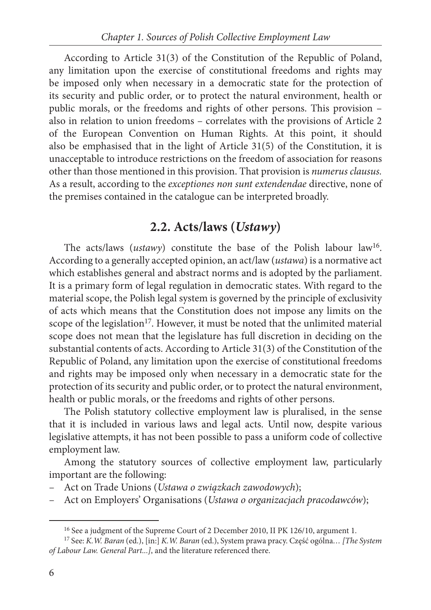According to Article 31(3) of the Constitution of the Republic of Poland, any limitation upon the exercise of constitutional freedoms and rights may be imposed only when necessary in a democratic state for the protection of its security and public order, or to protect the natural environment, health or public morals, or the freedoms and rights of other persons. This provision – also in relation to union freedoms – correlates with the provisions of Article 2 of the European Convention on Human Rights. At this point, it should also be emphasised that in the light of Article 31(5) of the Constitution, it is unacceptable to introduce restrictions on the freedom of association for reasons other than those mentioned in this provision. That provision is *numerus clausus.* As a result, according to the *exceptiones non sunt extendendae* directive, none of the premises contained in the catalogue can be interpreted broadly.

### **2.2. Acts/laws (***Ustawy***)**

The acts/laws (*ustawy*) constitute the base of the Polish labour law<sup>16</sup>. According to a generally accepted opinion, an act/law (*ustawa*) is a normative act which establishes general and abstract norms and is adopted by the parliament. It is a primary form of legal regulation in democratic states. With regard to the material scope, the Polish legal system is governed by the principle of exclusivity of acts which means that the Constitution does not impose any limits on the scope of the legislation<sup>17</sup>. However, it must be noted that the unlimited material scope does not mean that the legislature has full discretion in deciding on the substantial contents of acts. According to Article 31(3) of the Constitution of the Republic of Poland, any limitation upon the exercise of constitutional freedoms and rights may be imposed only when necessary in a democratic state for the protection of its security and public order, or to protect the natural environment, health or public morals, or the freedoms and rights of other persons.

The Polish statutory collective employment law is pluralised, in the sense that it is included in various laws and legal acts. Until now, despite various legislative attempts, it has not been possible to pass a uniform code of collective employment law.

Among the statutory sources of collective employment law, particularly important are the following:

- Act on Trade Unions (*Ustawa o związkach zawodowych*);
- Act on Employers' Organisations (*Ustawa o organizacjach pracodawców*);

<sup>16</sup> See a judgment of the Supreme Court of 2 December 2010, II PK 126/10, argument 1.

<sup>17</sup> See: *K.W. Baran* (ed.), [in:] *K.W. Baran* (ed.), System prawa pracy. Część ogólna*… [The System of Labour Law. General Part...]*, and the literature referenced there.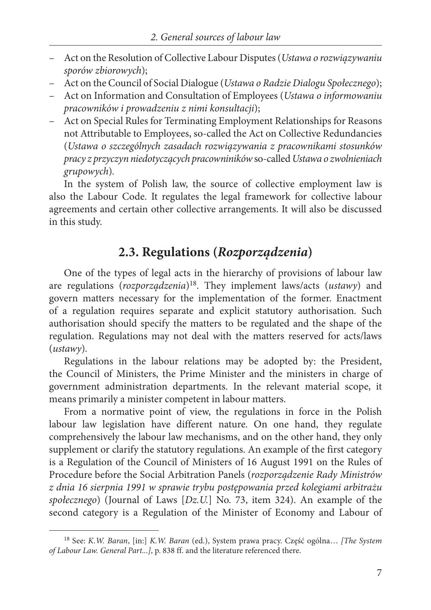- Act on the Resolution of Collective Labour Disputes (*Ustawa o rozwiązywaniu sporów zbiorowych*);
- Act on the Council of Social Dialogue (*Ustawa o Radzie Dialogu Społecznego*);
- Act on Information and Consultation of Employees (*Ustawa o informowaniu pracowników i prowadzeniu z nimi konsultacji*);
- Act on Special Rules for Terminating Employment Relationships for Reasons not Attributable to Employees, so-called the Act on Collective Redundancies (*Ustawa o szczególnych zasadach rozwiązywania z pracownikami stosunków pracy z przyczyn niedotyczących pracowniników* so-called *Ustawa o zwolnieniach grupowych*)*.*

In the system of Polish law, the source of collective employment law is also the Labour Code. It regulates the legal framework for collective labour agreements and certain other collective arrangements. It will also be discussed in this study.

### **2.3. Regulations (***Rozporządzenia***)**

One of the types of legal acts in the hierarchy of provisions of labour law are regulations (*rozporządzenia*)18. They implement laws/acts (*ustawy*) and govern matters necessary for the implementation of the former. Enactment of a regulation requires separate and explicit statutory authorisation. Such authorisation should specify the matters to be regulated and the shape of the regulation. Regulations may not deal with the matters reserved for acts/laws (*ustawy*)*.*

Regulations in the labour relations may be adopted by: the President, the Council of Ministers, the Prime Minister and the ministers in charge of government administration departments. In the relevant material scope, it means primarily a minister competent in labour matters.

From a normative point of view, the regulations in force in the Polish labour law legislation have different nature. On one hand, they regulate comprehensively the labour law mechanisms, and on the other hand, they only supplement or clarify the statutory regulations. An example of the first category is a Regulation of the Council of Ministers of 16 August 1991 on the Rules of Procedure before the Social Arbitration Panels (*rozporządzenie Rady Ministrów z dnia 16 sierpnia 1991 w sprawie trybu postępowania przed kolegiami arbitrażu społecznego*) (Journal of Laws [*Dz.U.*] No. 73, item 324). An example of the second category is a Regulation of the Minister of Economy and Labour of

<sup>18</sup> See: *K.W. Baran*, [in:] *K.W. Baran* (ed.), System prawa pracy. Część ogólna… *[The System of Labour Law. General Part...]*, p. 838 ff. and the literature referenced there.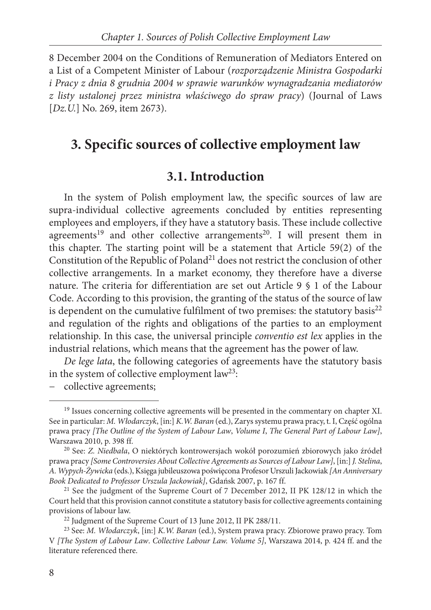8 December 2004 on the Conditions of Remuneration of Mediators Entered on a List of a Competent Minister of Labour (*rozporządzenie Ministra Gospodarki i Pracy z dnia 8 grudnia 2004 w sprawie warunków wynagradzania mediatorów z listy ustalonej przez ministra właściwego do spraw pracy*) (Journal of Laws [*Dz.U.*] No. 269, item 2673).

## **3. Specific sources of collective employment law**

### **3.1. Introduction**

In the system of Polish employment law, the specific sources of law are supra-individual collective agreements concluded by entities representing employees and employers, if they have a statutory basis. These include collective agreements<sup>19</sup> and other collective arrangements<sup>20</sup>. I will present them in this chapter. The starting point will be a statement that Article 59(2) of the Constitution of the Republic of Poland<sup>21</sup> does not restrict the conclusion of other collective arrangements. In a market economy, they therefore have a diverse nature. The criteria for differentiation are set out Article 9 § 1 of the Labour Code. According to this provision, the granting of the status of the source of law is dependent on the cumulative fulfilment of two premises: the statutory basis $^{22}$ and regulation of the rights and obligations of the parties to an employment relationship. In this case, the universal principle *conventio est lex* applies in the industrial relations, which means that the agreement has the power of law.

*De lege lata*, the following categories of agreements have the statutory basis in the system of collective employment law<sup>23</sup>:

− collective agreements;

<sup>&</sup>lt;sup>19</sup> Issues concerning collective agreements will be presented in the commentary on chapter XI. See in particular: *M. Włodarczyk*, [in:] *K.W. Baran* (ed.), Zarys systemu prawa pracy, t. I, Część ogólna prawa pracy *[The Outline of the System of Labour Law*, *Volume I*, *The General Part of Labour Law]*, Warszawa 2010, p. 398 ff.

<sup>20</sup> See: *Z. Niedbała*, O niektórych kontrowersjach wokół porozumień zbiorowych jako źródeł prawa pracy *[Some Controversies About Collective Agreements as Sources of Labour Law]*,[in:] *J. Stelina*, *A. Wypych-Żywicka* (eds.), Księga jubileuszowa poświęcona Profesor Urszuli Jackowiak *[An Anniversary Book Dedicated to Professor Urszula Jackowiak]*, Gdańsk 2007, p. 167 ff.

<sup>&</sup>lt;sup>21</sup> See the judgment of the Supreme Court of 7 December 2012, II PK 128/12 in which the Court held that this provision cannot constitute a statutory basis for collective agreements containing provisions of labour law.

<sup>22</sup> Judgment of the Supreme Court of 13 June 2012, II PK 288/11.

<sup>23</sup> See: *M. Włodarczyk*, [in:] *K.W. Baran* (ed.), System prawa pracy. Zbiorowe prawo pracy. Tom V *[The System of Labour Law*. *Collective Labour Law. Volume 5]*, Warszawa 2014, p. 424 ff. and the literature referenced there.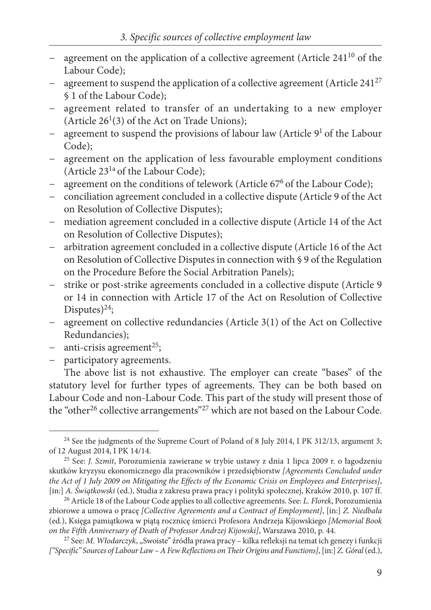- agreement on the application of a collective agreement (Article 241<sup>10</sup> of the Labour Code);
- agreement to suspend the application of a collective agreement (Article 241<sup>27</sup> § 1 of the Labour Code);
- agreement related to transfer of an undertaking to a new employer (Article  $26<sup>1</sup>(3)$  of the Act on Trade Unions);
- agreement to suspend the provisions of labour law (Article 9<sup>1</sup> of the Labour Code);
- agreement on the application of less favourable employment conditions (Article 231a of the Labour Code);
- agreement on the conditions of telework (Article 67<sup>6</sup> of the Labour Code);
- − conciliation agreement concluded in a collective dispute (Article 9 of the Act on Resolution of Collective Disputes);
- − mediation agreement concluded in a collective dispute (Article 14 of the Act on Resolution of Collective Disputes);
- − arbitration agreement concluded in a collective dispute (Article 16 of the Act on Resolution of Collective Disputes in connection with § 9 of the Regulation on the Procedure Before the Social Arbitration Panels);
- strike or post-strike agreements concluded in a collective dispute (Article 9 or 14 in connection with Article 17 of the Act on Resolution of Collective Disputes $)^{24}$ ;
- − agreement on collective redundancies (Article 3(1) of the Act on Collective Redundancies);
- − anti-crisis agreement<sup>25</sup>;
- − participatory agreements.

The above list is not exhaustive. The employer can create "bases" of the statutory level for further types of agreements. They can be both based on Labour Code and non-Labour Code. This part of the study will present those of the "other<sup>26</sup> collective arrangements"<sup>27</sup> which are not based on the Labour Code.

<sup>&</sup>lt;sup>24</sup> See the judgments of the Supreme Court of Poland of 8 July 2014, I PK 312/13, argument 3; of 12 August 2014, I PK 14/14.

<sup>25</sup> See: *J. Szmit*, Porozumienia zawierane w trybie ustawy z dnia 1 lipca 2009 r. o łagodzeniu skutków kryzysu ekonomicznego dla pracowników i przedsiębiorstw *[Agreements Concluded under the Act of 1 July 2009 on Mitigating the Effects of the Economic Crisis on Employees and Enterprises]*, [in:] *A. Świątkowski* (ed.), Studia z zakresu prawa pracy i polityki społecznej, Kraków 2010, p. 107 ff.

<sup>26</sup> Article 18 of the Labour Code applies to all collective agreements. See: *L. Florek*, Porozumienia zbiorowe a umowa o pracę *[Collective Agreements and a Contract of Employment]*, [in:] *Z. Niedbała* (ed.), Księga pamiątkowa w piątą rocznicę śmierci Profesora Andrzeja Kijowskiego *[Memorial Book on the Fifth Anniversary of Death of Professor Andrzej Kijowski]*, Warszawa 2010, p. 44.

<sup>&</sup>lt;sup>27</sup> See: *M. Włodarczyk*, "Swoiste" źródła prawa pracy – kilka refleksji na temat ich genezy i funkcji *["Specific" Sources of Labour Law – AFew Reflections on Their Origins and Functions]*,[in:] *Z. Góral* (ed.),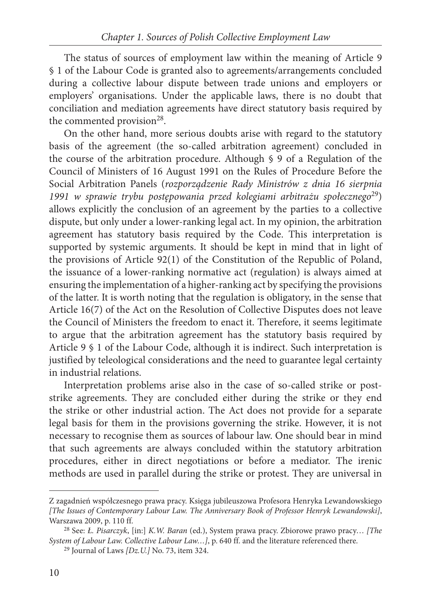The status of sources of employment law within the meaning of Article 9 § 1 of the Labour Code is granted also to agreements/arrangements concluded during a collective labour dispute between trade unions and employers or employers' organisations. Under the applicable laws, there is no doubt that conciliation and mediation agreements have direct statutory basis required by the commented provision<sup>28</sup>.

On the other hand, more serious doubts arise with regard to the statutory basis of the agreement (the so-called arbitration agreement) concluded in the course of the arbitration procedure. Although  $\S$  9 of a Regulation of the Council of Ministers of 16 August 1991 on the Rules of Procedure Before the Social Arbitration Panels (*rozporządzenie Rady Ministrów z dnia 16 sierpnia 1991 w sprawie trybu postępowania przed kolegiami arbitrażu społecznego*29) allows explicitly the conclusion of an agreement by the parties to a collective dispute, but only under a lower-ranking legal act. In my opinion, the arbitration agreement has statutory basis required by the Code. This interpretation is supported by systemic arguments. It should be kept in mind that in light of the provisions of Article 92(1) of the Constitution of the Republic of Poland, the issuance of a lower-ranking normative act (regulation) is always aimed at ensuring the implementation of a higher-ranking act by specifying the provisions of the latter. It is worth noting that the regulation is obligatory, in the sense that Article 16(7) of the Act on the Resolution of Collective Disputes does not leave the Council of Ministers the freedom to enact it. Therefore, it seems legitimate to argue that the arbitration agreement has the statutory basis required by Article 9 § 1 of the Labour Code, although it is indirect. Such interpretation is justified by teleological considerations and the need to guarantee legal certainty in industrial relations.

Interpretation problems arise also in the case of so-called strike or poststrike agreements. They are concluded either during the strike or they end the strike or other industrial action. The Act does not provide for a separate legal basis for them in the provisions governing the strike. However, it is not necessary to recognise them as sources of labour law. One should bear in mind that such agreements are always concluded within the statutory arbitration procedures, either in direct negotiations or before a mediator. The irenic methods are used in parallel during the strike or protest. They are universal in

Z zagadnień współczesnego prawa pracy. Księga jubileuszowa Profesora Henryka Lewandowskiego *[The Issues of Contemporary Labour Law. The Anniversary Book of Professor Henryk Lewandowski]*, Warszawa 2009, p. 110 ff.

<sup>28</sup> See: *Ł. Pisarczyk*, [in:] *K.W. Baran* (ed.), System prawa pracy. Zbiorowe prawo pracy… *[The System of Labour Law. Collective Labour Law…]*, p. 640 ff. and the literature referenced there.

<sup>29</sup> Journal of Laws *[Dz.U.]* No. 73, item 324.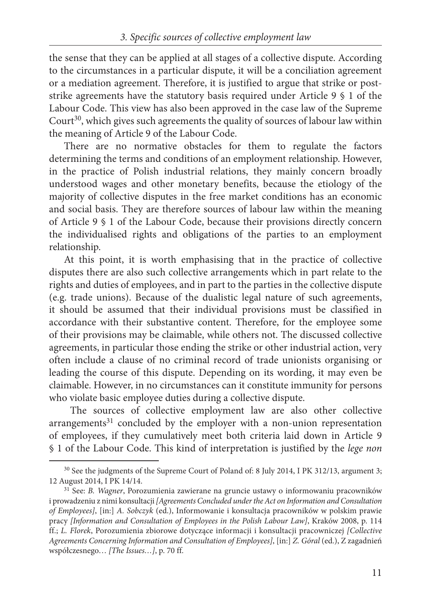the sense that they can be applied at all stages of a collective dispute. According to the circumstances in a particular dispute, it will be a conciliation agreement or a mediation agreement. Therefore, it is justified to argue that strike or poststrike agreements have the statutory basis required under Article 9 § 1 of the Labour Code. This view has also been approved in the case law of the Supreme Court<sup>30</sup>, which gives such agreements the quality of sources of labour law within the meaning of Article 9 of the Labour Code.

There are no normative obstacles for them to regulate the factors determining the terms and conditions of an employment relationship. However, in the practice of Polish industrial relations, they mainly concern broadly understood wages and other monetary benefits, because the etiology of the majority of collective disputes in the free market conditions has an economic and social basis. They are therefore sources of labour law within the meaning of Article 9 § 1 of the Labour Code, because their provisions directly concern the individualised rights and obligations of the parties to an employment relationship.

At this point, it is worth emphasising that in the practice of collective disputes there are also such collective arrangements which in part relate to the rights and duties of employees, and in part to the parties in the collective dispute (e.g. trade unions). Because of the dualistic legal nature of such agreements, it should be assumed that their individual provisions must be classified in accordance with their substantive content. Therefore, for the employee some of their provisions may be claimable, while others not. The discussed collective agreements, in particular those ending the strike or other industrial action, very often include a clause of no criminal record of trade unionists organising or leading the course of this dispute. Depending on its wording, it may even be claimable. However, in no circumstances can it constitute immunity for persons who violate basic employee duties during a collective dispute.

The sources of collective employment law are also other collective  $arrangements<sup>31</sup> concluded by the employer with a non-union representation$ of employees, if they cumulatively meet both criteria laid down in Article 9 § 1 of the Labour Code. This kind of interpretation is justified by the *lege non* 

<sup>&</sup>lt;sup>30</sup> See the judgments of the Supreme Court of Poland of: 8 July 2014, I PK 312/13, argument 3; 12 August 2014, I PK 14/14.

<sup>31</sup> See: *B. Wagner*, Porozumienia zawierane na gruncie ustawy o informowaniu pracowników i prowadzeniu z nimi konsultacji *[Agreements Concluded under the Act on Information and Consultation of Employees]*, [in:] *A. Sobczyk* (ed.), Informowanie i konsultacja pracowników w polskim prawie pracy *[Information and Consultation of Employees in the Polish Labour Law]*, Kraków 2008, p. 114 ff.; *L. Florek*, Porozumienia zbiorowe dotyczące informacji i konsultacji pracowniczej *[Collective Agreements Concerning Information and Consultation of Employees]*, [in:] *Z. Góral* (ed.), Z zagadnień współczesnego… *[The Issues…]*, p. 70 ff.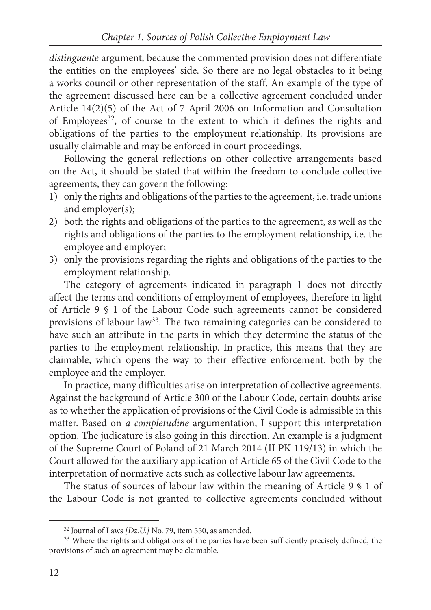*distinguente* argument, because the commented provision does not differentiate the entities on the employees' side. So there are no legal obstacles to it being a works council or other representation of the staff. An example of the type of the agreement discussed here can be a collective agreement concluded under Article 14(2)(5) of the Act of 7 April 2006 on Information and Consultation of Employees<sup>32</sup>, of course to the extent to which it defines the rights and obligations of the parties to the employment relationship. Its provisions are usually claimable and may be enforced in court proceedings.

Following the general reflections on other collective arrangements based on the Act, it should be stated that within the freedom to conclude collective agreements, they can govern the following:

- 1) only the rights and obligations of the parties to the agreement, i.e. trade unions and employer(s);
- 2) both the rights and obligations of the parties to the agreement, as well as the rights and obligations of the parties to the employment relationship, i.e. the employee and employer;
- 3) only the provisions regarding the rights and obligations of the parties to the employment relationship.

The category of agreements indicated in paragraph 1 does not directly affect the terms and conditions of employment of employees, therefore in light of Article 9 § 1 of the Labour Code such agreements cannot be considered provisions of labour law33. The two remaining categories can be considered to have such an attribute in the parts in which they determine the status of the parties to the employment relationship. In practice, this means that they are claimable, which opens the way to their effective enforcement, both by the employee and the employer.

In practice, many difficulties arise on interpretation of collective agreements. Against the background of Article 300 of the Labour Code, certain doubts arise as to whether the application of provisions of the Civil Code is admissible in this matter. Based on *a completudine* argumentation, I support this interpretation option. The judicature is also going in this direction. An example is a judgment of the Supreme Court of Poland of 21 March 2014 (II PK 119/13) in which the Court allowed for the auxiliary application of Article 65 of the Civil Code to the interpretation of normative acts such as collective labour law agreements.

The status of sources of labour law within the meaning of Article 9 § 1 of the Labour Code is not granted to collective agreements concluded without

<sup>32</sup> Journal of Laws *[Dz.U.]* No. 79, item 550, as amended.

<sup>&</sup>lt;sup>33</sup> Where the rights and obligations of the parties have been sufficiently precisely defined, the provisions of such an agreement may be claimable.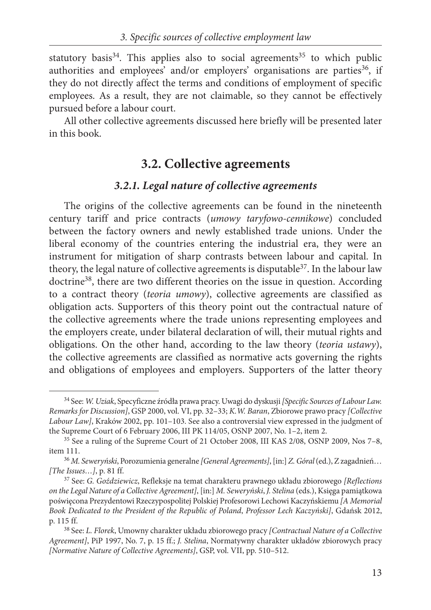statutory basis<sup>34</sup>. This applies also to social agreements<sup>35</sup> to which public authorities and employees' and/or employers' organisations are parties<sup>36</sup>, if they do not directly affect the terms and conditions of employment of specific employees. As a result, they are not claimable, so they cannot be effectively pursued before a labour court.

All other collective agreements discussed here briefly will be presented later in this book.

### **3.2. Collective agreements**

#### *3.2.1. Legal nature of collective agreements*

The origins of the collective agreements can be found in the nineteenth century tariff and price contracts (*umowy taryfowo-cennikowe*) concluded between the factory owners and newly established trade unions. Under the liberal economy of the countries entering the industrial era, they were an instrument for mitigation of sharp contrasts between labour and capital. In theory, the legal nature of collective agreements is disputable<sup>37</sup>. In the labour law doctrine<sup>38</sup>, there are two different theories on the issue in question. According to a contract theory (*teoria umowy*), collective agreements are classified as obligation acts. Supporters of this theory point out the contractual nature of the collective agreements where the trade unions representing employees and the employers create, under bilateral declaration of will, their mutual rights and obligations. On the other hand, according to the law theory (*teoria ustawy*), the collective agreements are classified as normative acts governing the rights and obligations of employees and employers. Supporters of the latter theory

<sup>34</sup> See: *W. Uziak*, Specyficzne źródła prawa pracy. Uwagi do dyskusji *[Specific Sources of Labour Law. Remarks for Discussion]*, GSP 2000, vol. VI, pp. 32–33; *K.W. Baran*, Zbiorowe prawo pracy *[Collective Labour Law]*, Kraków 2002, pp. 101–103. See also a controversial view expressed in the judgment of the Supreme Court of 6 February 2006, III PK 114/05, OSNP 2007, No. 1–2, item 2.

<sup>35</sup> See a ruling of the Supreme Court of 21 October 2008, III KAS 2/08, OSNP 2009, Nos 7–8, item 111.

<sup>36</sup> *M. Seweryński*, Porozumienia generalne *[General Agreements]*, [in:] *Z. Góral* (ed.), Z zagadnień… *[The Issues…]*, p. 81 ff.

<sup>37</sup> See: *G. Goździewicz*, Refleksje na temat charakteru prawnego układu zbiorowego *[Reflections on the Legal Nature of a Collective Agreement]*, [in:] *M. Seweryński*, *J. Stelina* (eds.), Księga pamiątkowa poświęcona Prezydentowi Rzeczypospolitej Polskiej Profesorowi Lechowi Kaczyńskiemu *[A Memorial Book Dedicated to the President of the Republic of Poland*, *Professor Lech Kaczyński]*, Gdańsk 2012, p. 115 ff.

<sup>38</sup> See: *L. Florek*, Umowny charakter układu zbiorowego pracy *[Contractual Nature of a Collective Agreement]*, PiP 1997, No. 7, p. 15 ff.; *J. Stelina*, Normatywny charakter układów zbiorowych pracy *[Normative Nature of Collective Agreements]*, GSP, vol. VII, pp. 510–512.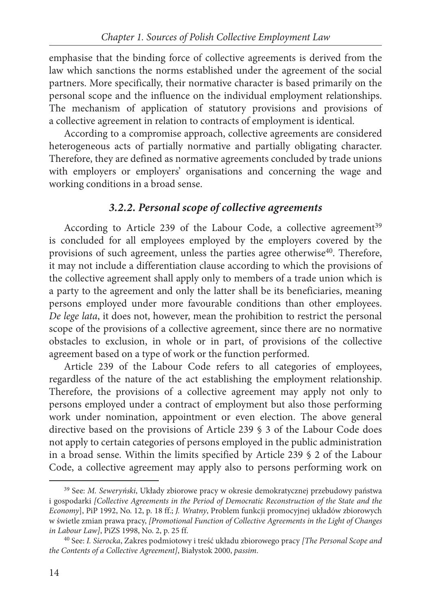emphasise that the binding force of collective agreements is derived from the law which sanctions the norms established under the agreement of the social partners. More specifically, their normative character is based primarily on the personal scope and the influence on the individual employment relationships. The mechanism of application of statutory provisions and provisions of a collective agreement in relation to contracts of employment is identical.

According to a compromise approach, collective agreements are considered heterogeneous acts of partially normative and partially obligating character. Therefore, they are defined as normative agreements concluded by trade unions with employers or employers' organisations and concerning the wage and working conditions in a broad sense.

#### *3.2.2. Personal scope of collective agreements*

According to Article 239 of the Labour Code, a collective agreement<sup>39</sup> is concluded for all employees employed by the employers covered by the provisions of such agreement, unless the parties agree otherwise<sup>40</sup>. Therefore, it may not include a differentiation clause according to which the provisions of the collective agreement shall apply only to members of a trade union which is a party to the agreement and only the latter shall be its beneficiaries, meaning persons employed under more favourable conditions than other employees. *De lege lata*, it does not, however, mean the prohibition to restrict the personal scope of the provisions of a collective agreement, since there are no normative obstacles to exclusion, in whole or in part, of provisions of the collective agreement based on a type of work or the function performed.

Article 239 of the Labour Code refers to all categories of employees, regardless of the nature of the act establishing the employment relationship. Therefore, the provisions of a collective agreement may apply not only to persons employed under a contract of employment but also those performing work under nomination, appointment or even election. The above general directive based on the provisions of Article 239 § 3 of the Labour Code does not apply to certain categories of persons employed in the public administration in a broad sense. Within the limits specified by Article 239 § 2 of the Labour Code, a collective agreement may apply also to persons performing work on

<sup>39</sup> See: *M. Seweryński*, Układy zbiorowe pracy w okresie demokratycznej przebudowy państwa i gospodarki *[Collective Agreements in the Period of Democratic Reconstruction of the State and the Economy*], PiP 1992, No. 12, p. 18 ff.; *J. Wratny*, Problem funkcji promocyjnej układów zbiorowych w świetle zmian prawa pracy, *[Promotional Function of Collective Agreements in the Light of Changes in Labour Law]*, PiZS 1998, No. 2, p. 25 ff.

<sup>40</sup> See: *I. Sierocka*, Zakres podmiotowy i treść układu zbiorowego pracy *[The Personal Scope and the Contents of a Collective Agreement]*, Białystok 2000, *passim*.